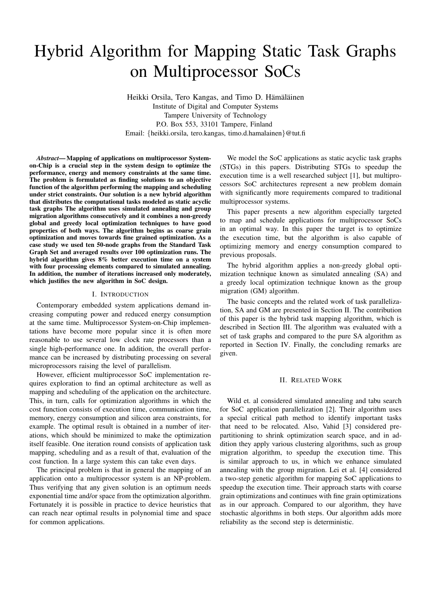# Hybrid Algorithm for Mapping Static Task Graphs on Multiprocessor SoCs

Heikki Orsila, Tero Kangas, and Timo D. Hämäläinen Institute of Digital and Computer Systems Tampere University of Technology P.O. Box 553, 33101 Tampere, Finland Email: {heikki.orsila, tero.kangas, timo.d.hamalainen}@tut.fi

*Abstract***— Mapping of applications on multiprocessor Systemon-Chip is a crucial step in the system design to optimize the performance, energy and memory constraints at the same time. The problem is formulated as finding solutions to an objective function of the algorithm performing the mapping and scheduling under strict constraints. Our solution is a new hybrid algorithm that distributes the computational tasks modeled as static acyclic task graphs The algorithm uses simulated annealing and group migration algorithms consecutively and it combines a non-greedy global and greedy local optimization techniques to have good properties of both ways. The algorithm begins as coarse grain optimization and moves towards fine grained optimization. As a case study we used ten 50-node graphs from the Standard Task Graph Set and averaged results over 100 optimization runs. The hybrid algorithm gives 8% better execution time on a system with four processing elements compared to simulated annealing. In addition, the number of iterations increased only moderately, which justifies the new algorithm in SoC design.**

#### I. INTRODUCTION

Contemporary embedded system applications demand increasing computing power and reduced energy consumption at the same time. Multiprocessor System-on-Chip implementations have become more popular since it is often more reasonable to use several low clock rate processors than a single high-performance one. In addition, the overall performance can be increased by distributing processing on several microprocessors raising the level of parallelism.

However, efficient multiprocessor SoC implementation requires exploration to find an optimal architecture as well as mapping and scheduling of the application on the architecture. This, in turn, calls for optimization algorithms in which the cost function consists of execution time, communication time, memory, energy consumption and silicon area constraints, for example. The optimal result is obtained in a number of iterations, which should be minimized to make the optimization itself feasible. One iteration round consists of application task mapping, scheduling and as a result of that, evaluation of the cost function. In a large system this can take even days.

The principal problem is that in general the mapping of an application onto a multiprocessor system is an NP-problem. Thus verifying that any given solution is an optimum needs exponential time and/or space from the optimization algorithm. Fortunately it is possible in practice to device heuristics that can reach near optimal results in polynomial time and space for common applications.

We model the SoC applications as static acyclic task graphs (STGs) in this papers. Distributing STGs to speedup the execution time is a well researched subject [1], but multiprocessors SoC architectures represent a new problem domain with significantly more requirements compared to traditional multiprocessor systems.

This paper presents a new algorithm especially targeted to map and schedule applications for multiprocessor SoCs in an optimal way. In this paper the target is to optimize the execution time, but the algorithm is also capable of optimizing memory and energy consumption compared to previous proposals.

The hybrid algorithm applies a non-greedy global optimization technique known as simulated annealing (SA) and a greedy local optimization technique known as the group migration (GM) algorithm.

The basic concepts and the related work of task parallelization, SA and GM are presented in Section II. The contribution of this paper is the hybrid task mapping algorithm, which is described in Section III. The algorithm was evaluated with a set of task graphs and compared to the pure SA algorithm as reported in Section IV. Finally, the concluding remarks are given.

## II. RELATED WORK

Wild et. al considered simulated annealing and tabu search for SoC application parallelization [2]. Their algorithm uses a special critical path method to identify important tasks that need to be relocated. Also, Vahid [3] considered prepartitioning to shrink optimization search space, and in addition they apply various clustering algorithms, such as group migration algorithm, to speedup the execution time. This is similar approach to us, in which we enhance simulated annealing with the group migration. Lei et al. [4] considered a two-step genetic algorithm for mapping SoC applications to speedup the execution time. Their approach starts with coarse grain optimizations and continues with fine grain optimizations as in our approach. Compared to our algorithm, they have stochastic algorithms in both steps. Our algorithm adds more reliability as the second step is deterministic.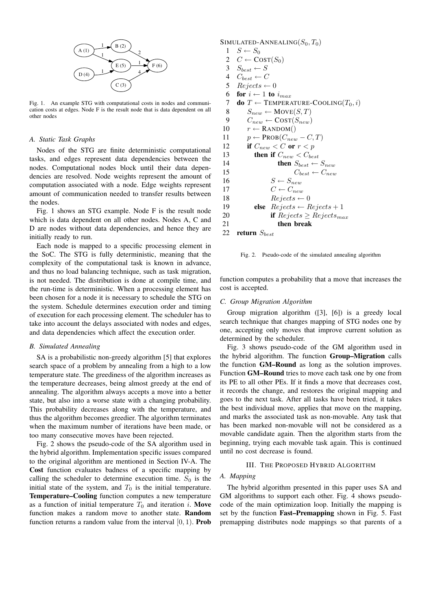

Fig. 1. An example STG with computational costs in nodes and communication costs at edges. Node F is the result node that is data dependent on all other nodes

# *A. Static Task Graphs*

Nodes of the STG are finite deterministic computational tasks, and edges represent data dependencies between the nodes. Computational nodes block until their data dependencies are resolved. Node weights represent the amount of computation associated with a node. Edge weights represent amount of communication needed to transfer results between the nodes.

Fig. 1 shows an STG example. Node F is the result node which is data dependent on all other nodes. Nodes A, C and D are nodes without data dependencies, and hence they are initially ready to run.

Each node is mapped to a specific processing element in the SoC. The STG is fully deterministic, meaning that the complexity of the computational task is known in advance, and thus no load balancing technique, such as task migration, is not needed. The distribution is done at compile time, and the run-time is deterministic. When a processing element has been chosen for a node it is necessary to schedule the STG on the system. Schedule determines execution order and timing of execution for each processing element. The scheduler has to take into account the delays associated with nodes and edges, and data dependencies which affect the execution order.

# *B. Simulated Annealing*

SA is a probabilistic non-greedy algorithm [5] that explores search space of a problem by annealing from a high to a low temperature state. The greediness of the algorithm increases as the temperature decreases, being almost greedy at the end of annealing. The algorithm always accepts a move into a better state, but also into a worse state with a changing probability. This probability decreases along with the temperature, and thus the algorithm becomes greedier. The algorithm terminates when the maximum number of iterations have been made, or too many consecutive moves have been rejected.

Fig. 2 shows the pseudo-code of the SA algorithm used in the hybrid algorithm. Implementation specific issues compared to the original algorithm are mentioned in Section IV-A. The **Cost** function evaluates badness of a specific mapping by calling the scheduler to determine execution time.  $S_0$  is the initial state of the system, and  $T_0$  is the initial temperature. **Temperature–Cooling** function computes a new temperature as a function of initial temperature  $T_0$  and iteration *i*. Move function makes a random move to another state. **Random** function returns a random value from the interval [0, 1). **Prob** SIMULATED-ANNEALING $(S_0, T_0)$  $1 \quad S \leftarrow S_0$  $C \leftarrow \text{COST}(S_0)$ <br>3  $S_{best} \leftarrow S$  $S_{best} \leftarrow S$ <br>4  $C_{best} \leftarrow C$  $C_{best} \leftarrow C$  $Rejects \leftarrow 0$ **for**  $i \leftarrow 1$  **to**  $i_{max}$ **do**  $T \leftarrow$  TEMPERATURE-COOLING( $T_0, i$ )  $S_{new} \leftarrow \text{Move}(S, T)$  $C_{new} \leftarrow \text{COST}(S_{new})$  $r \leftarrow$  RANDOM()  $p \leftarrow \text{PROB}(C_{new} - C, T)$ **if**  $C_{new} < C$  or  $r < p$ **then if**  $C_{new} < C_{best}$ <br>14 **then**  $S_{best} \leftarrow$ then  $S_{best} \leftarrow S_{new}$  $C_{best} \leftarrow C_{new}$  $S \leftarrow S_{new}$  $C \leftarrow C_{new}$  $Rejects \leftarrow 0$ **else**  $\text{Reject } s \leftarrow \text{Reject } s + 1$ **if**  $Rejects \geq Rejects_{max}$  **then break return**  $S_{best}$ 

Fig. 2. Pseudo-code of the simulated annealing algorithm

function computes a probability that a move that increases the cost is accepted.

#### *C. Group Migration Algorithm*

Group migration algorithm ([3], [6]) is a greedy local search technique that changes mapping of STG nodes one by one, accepting only moves that improve current solution as determined by the scheduler.

Fig. 3 shows pseudo-code of the GM algorithm used in the hybrid algorithm. The function **Group–Migration** calls the function **GM–Round** as long as the solution improves. Function **GM–Round** tries to move each task one by one from its PE to all other PEs. If it finds a move that decreases cost, it records the change, and restores the original mapping and goes to the next task. After all tasks have been tried, it takes the best individual move, applies that move on the mapping, and marks the associated task as non-movable. Any task that has been marked non-movable will not be considered as a movable candidate again. Then the algorithm starts from the beginning, trying each movable task again. This is continued until no cost decrease is found.

# III. THE PROPOSED HYBRID ALGORITHM

#### *A. Mapping*

The hybrid algorithm presented in this paper uses SA and GM algorithms to support each other. Fig. 4 shows pseudocode of the main optimization loop. Initially the mapping is set by the function **Fast–Premapping** shown in Fig. 5. Fast premapping distributes node mappings so that parents of a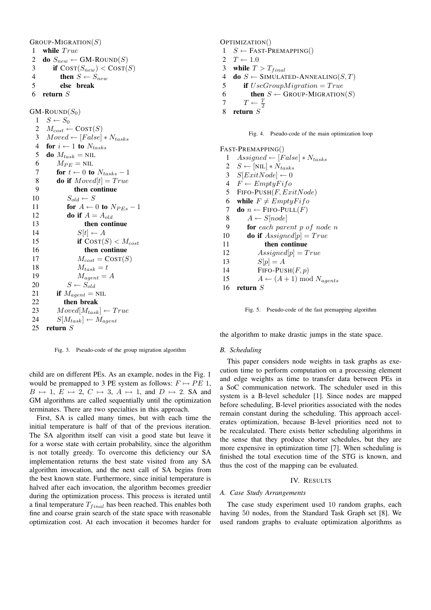$G$ ROUP-MIGRATION $(S)$ 

1 **while** True

- 2 **do**  $S_{new} \leftarrow \text{GM-ROUND}(S)$ <br>3 **if**  $\text{COST}(S_{new}) < \text{COST}(S_{new})$
- **if**  $\text{COST}(S_{new}) < \text{COST}(S)$ 4 **then**  $S \leftarrow S_{new}$
- 5 **else break**
- 6 **return** S

 $GM$ -ROUND $(S_0)$ 

 $1 \quad S \leftarrow S_0$  $M_{cost} \leftarrow \text{COST}(S)$  $Moved \leftarrow [False] * N_{tasks}$ **for**  $i \leftarrow 1$  **to**  $N_{tasks}$ **do**  $M_{task} = \text{NIL}$  $M_{PE} = \text{NIL}$ <br>7 **for**  $t \leftarrow 0$  to **for**  $t \leftarrow 0$  **to**  $N_{tasks} - 1$ **do if**  $Moved[t] = True$  **then continue**  $S_{old} \leftarrow S$ **for**  $A \leftarrow 0$  **to**  $N_{PEs} - 1$ **do** if  $A = A_{old}$  **then continue**  $S[t] \leftarrow A$ **if**  $\text{Cosy}(S) < M_{cost}$  **then continue**  $M_{cost} = \text{COST}(S)$  $M_{task} = t$  $M_{agent} = A$  $S \leftarrow S_{old}$ **if**  $M_{agent} = \text{NIL}$  **then break**  $Moved[M<sub>task</sub>] \leftarrow True$  $S[M_{task}] \leftarrow M_{agent}$ <br>25 return S 25 **return** S

Fig. 3. Pseudo-code of the group migration algorithm

child are on different PEs. As an example, nodes in the Fig. 1 would be premapped to 3 PE system as follows:  $F \mapsto PE$  1,  $B \mapsto 1, E \mapsto 2, C \mapsto 3, A \mapsto 1$ , and  $D \mapsto 2$ . SA and GM algorithms are called sequentially until the optimization terminates. There are two specialties in this approach.

First, SA is called many times, but with each time the initial temperature is half of that of the previous iteration. The SA algorithm itself can visit a good state but leave it for a worse state with certain probability, since the algorithm is not totally greedy. To overcome this deficiency our SA implementation returns the best state visited from any SA algorithm invocation, and the next call of SA begins from the best known state. Furthermore, since initial temperature is halved after each invocation, the algorithm becomes greedier during the optimization process. This process is iterated until a final temperature  $T_{final}$  has been reached. This enables both fine and coarse grain search of the state space with reasonable optimization cost. At each invocation it becomes harder for

OPTIMIZATION()

- $1 S \leftarrow$  FAST-PREMAPPING()
- 2  $T \leftarrow 1.0$
- 3 **while**  $T > T_{final}$
- 4 **do**  $S \leftarrow$  SIMULATED-ANNEALING(S, T)
- 5 **if** UseGroupMigration = True
- 6 **then**  $S \leftarrow$  GROUP-MIGRATION(S)
- 7  $T \leftarrow \frac{T}{2}$
- 8 **return** S

Fig. 4. Pseudo-code of the main optimization loop

FAST-PREMAPPING() 1 Assigned  $\leftarrow$  [False]  $*$  N<sub>tasks</sub>  $S \leftarrow [NIL] * N_{tasks}$  $S[ExitNode] \leftarrow 0$  $F \leftarrow EmptyFifo$ 5 FIFO-PUSH $(F, ExtNode)$ **while**  $F \neq EmptyFifo$ **do**  $n \leftarrow$  FIFO-PULL(*F*)  $A \leftarrow S[node]$  **for** each parent p of node n **do** if  $Assigned[p] = True$  **then continue**  $Assigned[p] = True$ 13  $S[p] = A$ 14 FIFO-PUSH $(F, p)$  $A \leftarrow (A+1) \text{ mod } N_{agents}$ 16 **return** S



the algorithm to make drastic jumps in the state space.

## *B. Scheduling*

This paper considers node weights in task graphs as execution time to perform computation on a processing element and edge weights as time to transfer data between PEs in a SoC communication network. The scheduler used in this system is a B-level scheduler [1]. Since nodes are mapped before scheduling, B-level priorities associated with the nodes remain constant during the scheduling. This approach accelerates optimization, because B-level priorities need not to be recalculated. There exists better scheduling algorithms in the sense that they produce shorter schedules, but they are more expensive in optimization time [7]. When scheduling is finished the total execution time of the STG is known, and thus the cost of the mapping can be evaluated.

# IV. RESULTS

# *A. Case Study Arrangements*

The case study experiment used 10 random graphs, each having 50 nodes, from the Standard Task Graph set [8]. We used random graphs to evaluate optimization algorithms as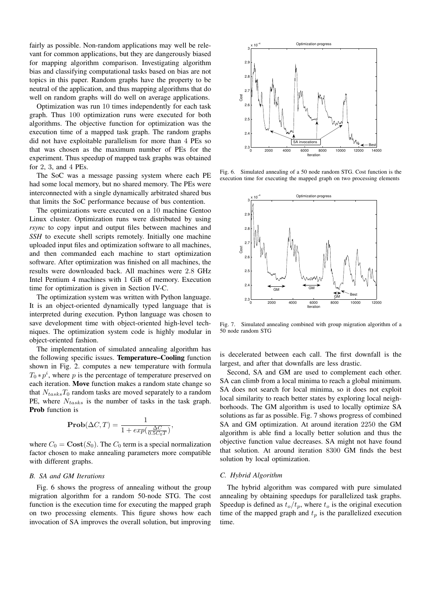fairly as possible. Non-random applications may well be relevant for common applications, but they are dangerously biased for mapping algorithm comparison. Investigating algorithm bias and classifying computational tasks based on bias are not topics in this paper. Random graphs have the property to be neutral of the application, and thus mapping algorithms that do well on random graphs will do well on average applications.

Optimization was run 10 times independently for each task graph. Thus 100 optimization runs were executed for both algorithms. The objective function for optimization was the execution time of a mapped task graph. The random graphs did not have exploitable parallelism for more than 4 PEs so that was chosen as the maximum number of PEs for the experiment. Thus speedup of mapped task graphs was obtained for 2, 3, and 4 PEs.

The SoC was a message passing system where each PE had some local memory, but no shared memory. The PEs were interconnected with a single dynamically arbitrated shared bus that limits the SoC performance because of bus contention.

The optimizations were executed on a 10 machine Gentoo Linux cluster. Optimization runs were distributed by using *rsync* to copy input and output files between machines and *SSH* to execute shell scripts remotely. Initially one machine uploaded input files and optimization software to all machines, and then commanded each machine to start optimization software. After optimization was finished on all machines, the results were downloaded back. All machines were 2.8 GHz Intel Pentium 4 machines with 1 GiB of memory. Execution time for optimization is given in Section IV-C.

The optimization system was written with Python language. It is an object-oriented dynamically typed language that is interpreted during execution. Python language was chosen to save development time with object-oriented high-level techniques. The optimization system code is highly modular in object-oriented fashion.

The implementation of simulated annealing algorithm has the following specific issues. **Temperature–Cooling** function shown in Fig. 2. computes a new temperature with formula  $T_0 * p^i$ , where p is the percentage of temperature preserved on each iteration. **Move** function makes a random state change so that  $N_{tasks}T_0$  random tasks are moved separately to a random PE, where  $N_{tasks}$  is the number of tasks in the task graph. **Prob** function is

$$
\mathbf{Prob}(\Delta C, T) = \frac{1}{1 + exp(\frac{\Delta C}{0.5 C_0 T})},
$$

where  $C_0 = \text{Cost}(S_0)$ . The  $C_0$  term is a special normalization factor chosen to make annealing parameters more compatible with different graphs.

## *B. SA and GM Iterations*

Fig. 6 shows the progress of annealing without the group migration algorithm for a random 50-node STG. The cost function is the execution time for executing the mapped graph on two processing elements. This figure shows how each invocation of SA improves the overall solution, but improving



Fig. 6. Simulated annealing of a 50 node random STG. Cost function is the execution time for executing the mapped graph on two processing elements



Fig. 7. Simulated annealing combined with group migration algorithm of a 50 node random STG

is decelerated between each call. The first downfall is the largest, and after that downfalls are less drastic.

Second, SA and GM are used to complement each other. SA can climb from a local minima to reach a global minimum. SA does not search for local minima, so it does not exploit local similarity to reach better states by exploring local neighborhoods. The GM algorithm is used to locally optimize SA solutions as far as possible. Fig. 7 shows progress of combined SA and GM optimization. At around iteration 2250 the GM algorithm is able find a locally better solution and thus the objective function value decreases. SA might not have found that solution. At around iteration 8300 GM finds the best solution by local optimization.

### *C. Hybrid Algorithm*

The hybrid algorithm was compared with pure simulated annealing by obtaining speedups for parallelized task graphs. Speedup is defined as  $t_o/t_p$ , where  $t_o$  is the original execution time of the mapped graph and  $t_p$  is the parallelized execution time.